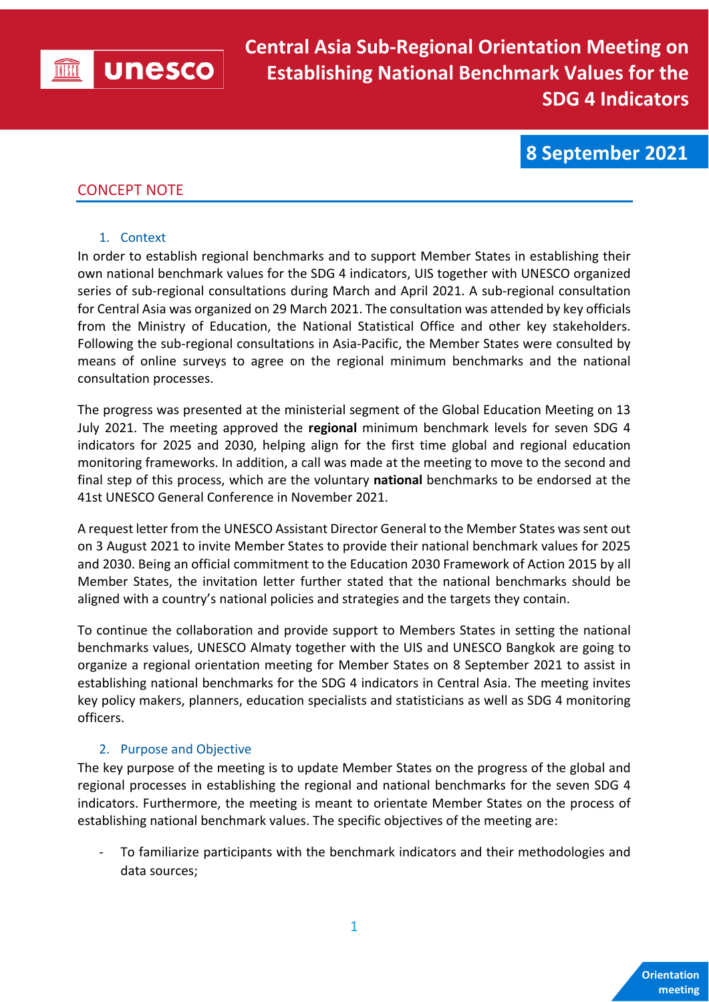

**8 September 2021**

# CONCEPT NOTE

#### 1. Context

In order to establish regional benchmarks and to support Member States in establishing their own national benchmark values for the SDG 4 indicators, UIS together with UNESCO organized series of sub-regional consultations during March and April 2021. A sub-regional consultation for Central Asia was organized on 29 March 2021. The consultation was attended by key officials from the Ministry of Education, the National Statistical Office and other key stakeholders. Following the sub-regional consultations in Asia-Pacific, the Member States were consulted by means of online surveys to agree on the regional minimum benchmarks and the national consultation processes.

The progress was presented at the ministerial segment of the Global Education Meeting on 13 July 2021. The meeting approved the **regional** minimum benchmark levels for seven SDG 4 indicators for 2025 and 2030, helping align for the first time global and regional education monitoring frameworks. In addition, a call was made at the meeting to move to the second and final step of this process, which are the voluntary **national** benchmarks to be endorsed at the 41st UNESCO General Conference in November 2021.

A request letter from the UNESCO Assistant Director General to the Member States wassent out on 3 August 2021 to invite Member States to provide their national benchmark values for 2025 and 2030. Being an official commitment to the Education 2030 Framework of Action 2015 by all Member States, the invitation letter further stated that the national benchmarks should be aligned with a country's national policies and strategies and the targets they contain.

To continue the collaboration and provide support to Members States in setting the national benchmarks values, UNESCO Almaty together with the UIS and UNESCO Bangkok are going to organize a regional orientation meeting for Member States on 8 September 2021 to assist in establishing national benchmarks for the SDG 4 indicators in Central Asia. The meeting invites key policy makers, planners, education specialists and statisticians as well as SDG 4 monitoring officers.

## 2. Purpose and Objective

The key purpose of the meeting is to update Member States on the progress of the global and regional processes in establishing the regional and national benchmarks for the seven SDG 4 indicators. Furthermore, the meeting is meant to orientate Member States on the process of establishing national benchmark values. The specific objectives of the meeting are:

To familiarize participants with the benchmark indicators and their methodologies and data sources;

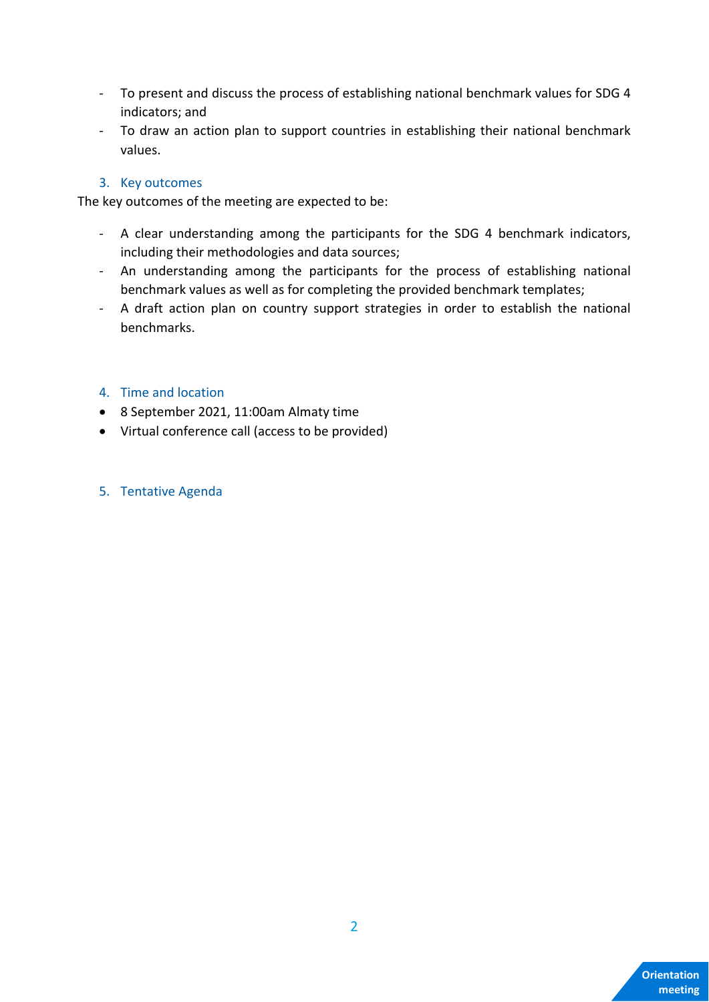- To present and discuss the process of establishing national benchmark values for SDG 4 indicators; and
- To draw an action plan to support countries in establishing their national benchmark values.

## 3. Key outcomes

The key outcomes of the meeting are expected to be:

- A clear understanding among the participants for the SDG 4 benchmark indicators, including their methodologies and data sources;
- An understanding among the participants for the process of establishing national benchmark values as well as for completing the provided benchmark templates;
- A draft action plan on country support strategies in order to establish the national benchmarks.

### 4. Time and location

- 8 September 2021, 11:00am Almaty time
- Virtual conference call (access to be provided)

#### 5. Tentative Agenda